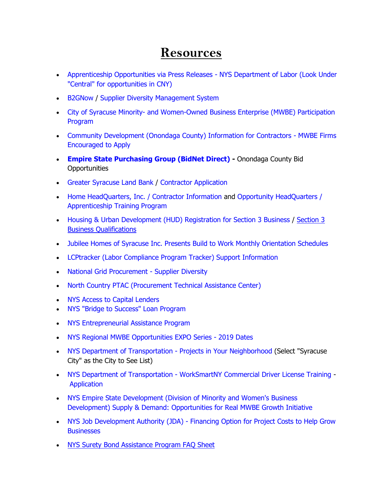## **Resources**

- [Apprenticeship Opportunities via Press Releases -](https://labor.ny.gov/pressreleases/apprenticeshiparchive.shtm) NYS Department of Labor (Look Under ["Central" for opportunities in CNY\)](https://labor.ny.gov/pressreleases/apprenticeshiparchive.shtm)
- **[B2GNow](http://b2gnow.com/) / [Supplier Diversity Management System](https://ongov.diversitysoftware.com/)**
- City of Syracuse Minority- [and Women-Owned Business Enterprise \(MWBE\) Participation](http://www.syrgov.net/supplier_diversity.aspx)  [Program](http://www.syrgov.net/supplier_diversity.aspx)
- [Community Development \(Onondaga County\) Information for Contractors -](http://www.ongov.net/cd/contractorInformation.html) MWBE Firms [Encouraged to Apply](http://www.ongov.net/cd/contractorInformation.html)
- **[Empire State Purchasing Group \(BidNet Direct\)](https://www.bidnetdirect.com/new-york/onondaga-county) -** Onondaga County Bid **Opportunities**
- [Greater Syracuse Land Bank](http://syracuselandbank.org/contractors/) / [Contractor Application](http://syracuselandbank.org/wp-content/uploads/2016/08/Contractor-Application.pdf)
- [Home HeadQuarters, Inc. / Contractor Information](http://www.homehq.org/for-contractors/) and Opportunity HeadQuarters / [Apprenticeship Training Program](http://www.homehq.org/opportunityheadquarters/)
- [Housing & Urban Development \(HUD\) Registration for Section 3 Business](https://portalapps.hud.gov/Sec3BusReg/BRegistry/RegisterBusiness) / Section 3 Business [Qualifications](https://portalapps.hud.gov/Sec3BusReg/BRegistry/AmISection3)
- [Jubilee Homes of Syracuse Inc. Presents Build to Work Monthly Orientation Schedules](http://www.ongov.net/mwbe/documents/Local669WesternandCNYJune2019InterviewDates.pdf)
- [LCPtracker \(Labor Compliance Program Tracker\) Support Information](https://www.lcptracker.com/solutions/lcptracker)
- [National Grid Procurement -](https://www.nationalgridus.com/Business-Partners/Suppliers-and-Vendors/Supplier-Diversity-and-Sustainability) Supplier Diversity
- [North Country PTAC \(Procurement Technical Assistance Center\)](http://www.northcountryptac.com/)
- [NYS Access to Capital Lenders](http://www.ongov.net/mwbe/documents/AccesstoCapital_2017flyer.pdf)
- [NYS "Bridge to Success" Loan Program](http://www.ongov.net/mwbe/documents/Bridge_to_Sucess_Loan_Program_Description.pdf)
- [NYS Entrepreneurial Assistance Program](http://www.ongov.net/mwbe/documents/EAP_brochure_2017.pdf)
- [NYS Regional MWBE Opportunities EXPO Series -](http://www.ongov.net/mwbe/documents/2019MWBEExpoFlyer.pdf) 2019 Dates
- [NYS Department of Transportation -](https://www.dot.ny.gov/projects) Projects in Your Neighborhood (Select "Syracuse City" as the City to See List)
- NYS Department of Transportation [WorkSmartNY Commercial Driver License Training](http://www.ongov.net/mwbe/documents/WorkSmartNYCommercialDriverLicenseTraining.pdf) [Application](http://www.ongov.net/mwbe/documents/NYSDOTWorkSmartNYCommercialDriverLicenseTrainingProgramApplication.pdf)
- [NYS Empire State Development \(Division of Minority and Women's Business](http://www.esd.ny.gov/MWBE/BusinessDevelopment.html#Supply_)  Development) [Supply & Demand: Opportunities for Real MWBE Growth Initiative](http://www.esd.ny.gov/MWBE/BusinessDevelopment.html#Supply_)
- NYS Job Development Authority (JDA) [Financing Option for Project Costs to Help Grow](http://www.ongov.net/mwbe/documents/JDA_Flyer_LowerCosts_D2.pdf)  **[Businesses](http://www.ongov.net/mwbe/documents/JDA_Flyer_LowerCosts_D2.pdf)**
- [NYS Surety Bond Assistance Program FAQ Sheet](http://www.ongov.net/mwbe/documents/2017_NYS_SuretyBondAssistance_2017facsheet.pdf)